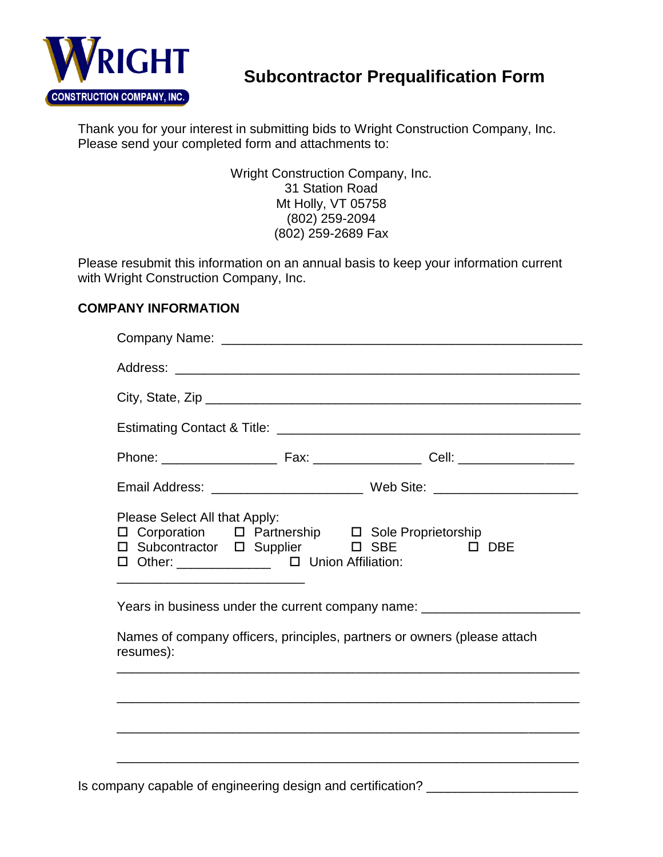

# **Subcontractor Prequalification Form**

Thank you for your interest in submitting bids to Wright Construction Company, Inc. Please send your completed form and attachments to:

> Wright Construction Company, Inc. 31 Station Road Mt Holly, VT 05758 (802) 259-2094 (802) 259-2689 Fax

Please resubmit this information on an annual basis to keep your information current with Wright Construction Company, Inc.

#### **COMPANY INFORMATION**

| Please Select All that Apply:<br>□ Corporation □ Partnership □ Sole Proprietorship<br>D Subcontractor D Supplier D SBE D DBE<br>□ Other: ______________ □ Union Affiliation: |  |  |  |  |
|------------------------------------------------------------------------------------------------------------------------------------------------------------------------------|--|--|--|--|
| Years in business under the current company name: ______________________________<br>Names of company officers, principles, partners or owners (please attach<br>resumes):    |  |  |  |  |
|                                                                                                                                                                              |  |  |  |  |
|                                                                                                                                                                              |  |  |  |  |
|                                                                                                                                                                              |  |  |  |  |

Is company capable of engineering design and certification? \_\_\_\_\_\_\_\_\_\_\_\_\_\_\_\_\_\_\_\_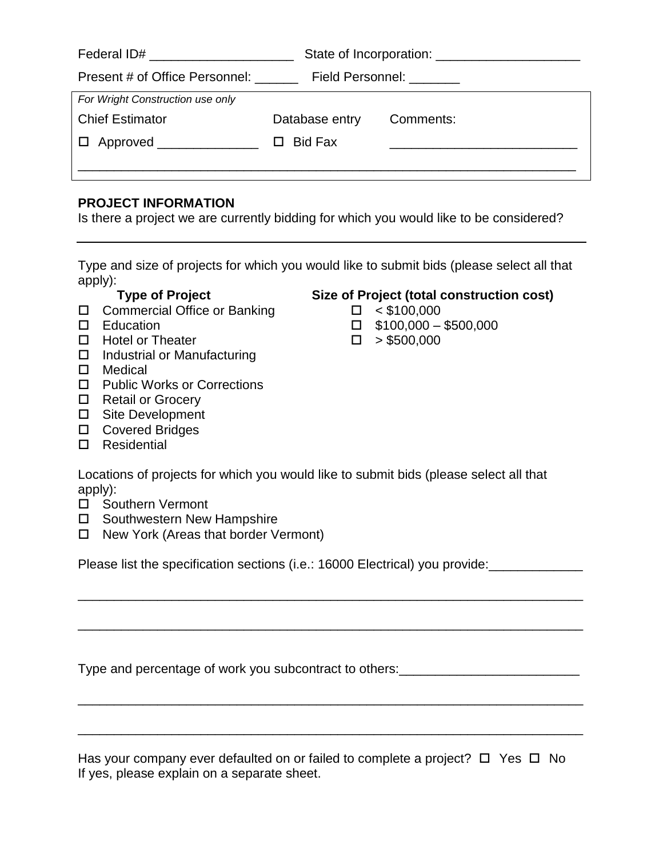| Present # of Office Personnel: ______<br>Field Personnel: ________ |           |  |
|--------------------------------------------------------------------|-----------|--|
|                                                                    |           |  |
| Database entry                                                     | Comments: |  |
| $\Box$ Approved ______________<br>Bid Fax<br>П                     |           |  |
|                                                                    |           |  |
|                                                                    |           |  |

#### **PROJECT INFORMATION**

Is there a project we are currently bidding for which you would like to be considered?

Type and size of projects for which you would like to submit bids (please select all that apply):

- Commercial Office or Banking < \$100,000
- 
- $\Box$  Hotel or Theater  $\Box$  > \$500,000
- $\Box$  Industrial or Manufacturing
- □ Medical
- □ Public Works or Corrections
- □ Retail or Grocery
- □ Site Development
- □ Covered Bridges
- □ Residential

## **Type of Project Size of Project (total construction cost)**

- 
- $\Box$  Education  $\Box$  \$100,000 \$500,000
	-

Locations of projects for which you would like to submit bids (please select all that apply):

- □ Southern Vermont
- □ Southwestern New Hampshire
- $\Box$  New York (Areas that border Vermont)

Please list the specification sections (i.e.: 16000 Electrical) you provide:

\_\_\_\_\_\_\_\_\_\_\_\_\_\_\_\_\_\_\_\_\_\_\_\_\_\_\_\_\_\_\_\_\_\_\_\_\_\_\_\_\_\_\_\_\_\_\_\_\_\_\_\_\_\_\_\_\_\_\_\_\_\_\_\_\_\_\_\_\_\_

\_\_\_\_\_\_\_\_\_\_\_\_\_\_\_\_\_\_\_\_\_\_\_\_\_\_\_\_\_\_\_\_\_\_\_\_\_\_\_\_\_\_\_\_\_\_\_\_\_\_\_\_\_\_\_\_\_\_\_\_\_\_\_\_\_\_\_\_\_\_

\_\_\_\_\_\_\_\_\_\_\_\_\_\_\_\_\_\_\_\_\_\_\_\_\_\_\_\_\_\_\_\_\_\_\_\_\_\_\_\_\_\_\_\_\_\_\_\_\_\_\_\_\_\_\_\_\_\_\_\_\_\_\_\_\_\_\_\_\_\_

\_\_\_\_\_\_\_\_\_\_\_\_\_\_\_\_\_\_\_\_\_\_\_\_\_\_\_\_\_\_\_\_\_\_\_\_\_\_\_\_\_\_\_\_\_\_\_\_\_\_\_\_\_\_\_\_\_\_\_\_\_\_\_\_\_\_\_\_\_\_

Type and percentage of work you subcontract to others: \_\_\_\_\_\_\_\_\_\_\_\_\_\_\_\_\_\_\_\_\_\_\_\_\_

Has your company ever defaulted on or failed to complete a project?  $\Box$  Yes  $\Box$  No If yes, please explain on a separate sheet.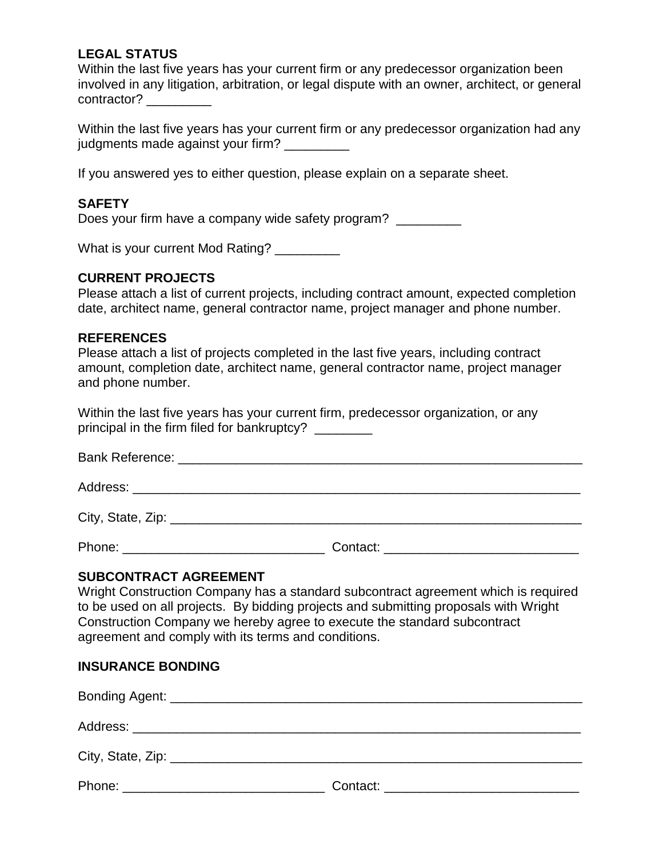### **LEGAL STATUS**

Within the last five years has your current firm or any predecessor organization been involved in any litigation, arbitration, or legal dispute with an owner, architect, or general contractor?

Within the last five years has your current firm or any predecessor organization had any judgments made against your firm?

If you answered yes to either question, please explain on a separate sheet.

#### **SAFETY**

Does your firm have a company wide safety program?

What is your current Mod Rating? \_\_\_\_\_\_\_\_\_

#### **CURRENT PROJECTS**

Please attach a list of current projects, including contract amount, expected completion date, architect name, general contractor name, project manager and phone number.

#### **REFERENCES**

Please attach a list of projects completed in the last five years, including contract amount, completion date, architect name, general contractor name, project manager and phone number.

Within the last five years has your current firm, predecessor organization, or any principal in the firm filed for bankruptcy?

| <b>Bank Reference:</b> |  |  |
|------------------------|--|--|
|------------------------|--|--|

Address:

City, State, Zip: \_\_\_\_\_\_\_\_\_\_\_\_\_\_\_\_\_\_\_\_\_\_\_\_\_\_\_\_\_\_\_\_\_\_\_\_\_\_\_\_\_\_\_\_\_\_\_\_\_\_\_\_\_\_\_\_\_

Phone: \_\_\_\_\_\_\_\_\_\_\_\_\_\_\_\_\_\_\_\_\_\_\_\_\_\_\_\_ Contact: \_\_\_\_\_\_\_\_\_\_\_\_\_\_\_\_\_\_\_\_\_\_\_\_\_\_\_

#### **SUBCONTRACT AGREEMENT**

Wright Construction Company has a standard subcontract agreement which is required to be used on all projects. By bidding projects and submitting proposals with Wright Construction Company we hereby agree to execute the standard subcontract agreement and comply with its terms and conditions.

#### **INSURANCE BONDING**

| Contact: the contact of the contact of the contact of the contact of the contact of the contact of the contact of the contact of the contact of the contact of the contact of the contact of the contact of the contact of the |
|--------------------------------------------------------------------------------------------------------------------------------------------------------------------------------------------------------------------------------|